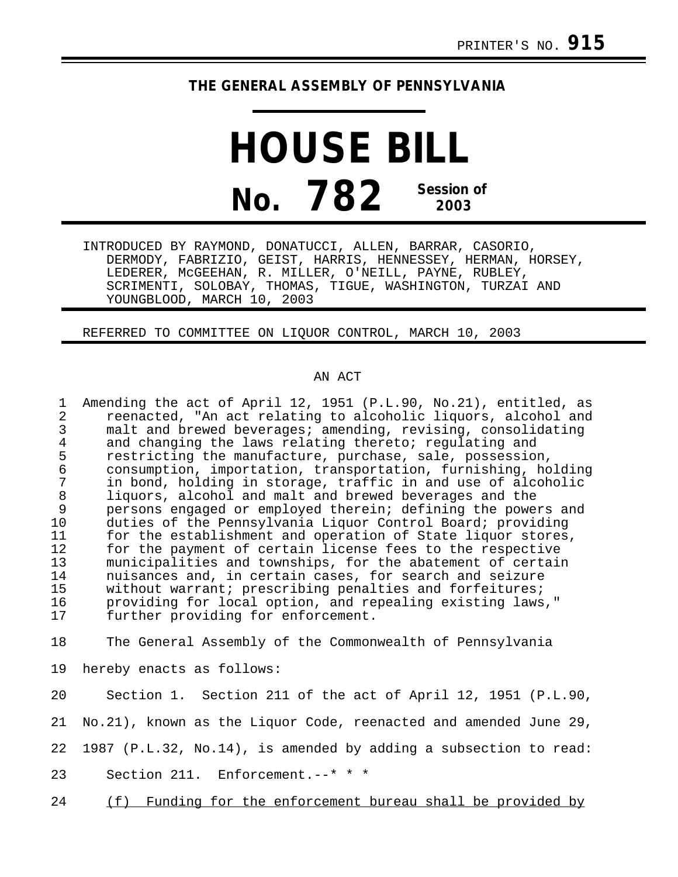## **THE GENERAL ASSEMBLY OF PENNSYLVANIA**

**HOUSE BILL No. 782 Session of 2003**

INTRODUCED BY RAYMOND, DONATUCCI, ALLEN, BARRAR, CASORIO, DERMODY, FABRIZIO, GEIST, HARRIS, HENNESSEY, HERMAN, HORSEY, LEDERER, McGEEHAN, R. MILLER, O'NEILL, PAYNE, RUBLEY, SCRIMENTI, SOLOBAY, THOMAS, TIGUE, WASHINGTON, TURZAI AND YOUNGBLOOD, MARCH 10, 2003

REFERRED TO COMMITTEE ON LIQUOR CONTROL, MARCH 10, 2003

## AN ACT

1 Amending the act of April 12, 1951 (P.L.90, No.21), entitled, as 2 reenacted, "An act relating to alcoholic liquors, alcohol and<br>3 malt and brewed beverages; amending, revising, consolidating 3 malt and brewed beverages; amending, revising, consolidating<br>4 and changing the laws relating thereto; regulating and 4 and changing the laws relating thereto; regulating and<br>5 restricting the manufacture, purchase, sale, possession 5 restricting the manufacture, purchase, sale, possession,<br>6 consumption, importation, transportation, furnishing, ho 6 consumption, importation, transportation, furnishing, holding 7 in bond, holding in storage, traffic in and use of alcoholic 8 liquors, alcohol and malt and brewed beverages and the<br>9 persons engaged or employed therein; defining the power 9 persons engaged or employed therein; defining the powers and<br>10 duties of the Pennsylvania Liquor Control Board; providing 10 duties of the Pennsylvania Liquor Control Board; providing 11 for the establishment and operation of State liquor stores,<br>12 for the payment of certain license fees to the respective 12 for the payment of certain license fees to the respective<br>13 municipalities and townships, for the abatement of certain municipalities and townships, for the abatement of certain 14 nuisances and, in certain cases, for search and seizure 15 without warrant; prescribing penalties and forfeitures;<br>16 providing for local option, and repealing existing laws 16 providing for local option, and repealing existing laws,"<br>17 further providing for enforcement. further providing for enforcement. 18 The General Assembly of the Commonwealth of Pennsylvania 19 hereby enacts as follows:

20 Section 1. Section 211 of the act of April 12, 1951 (P.L.90, 21 No.21), known as the Liquor Code, reenacted and amended June 29, 22 1987 (P.L.32, No.14), is amended by adding a subsection to read: 23 Section 211. Enforcement.--\* \* \*

24 (f) Funding for the enforcement bureau shall be provided by